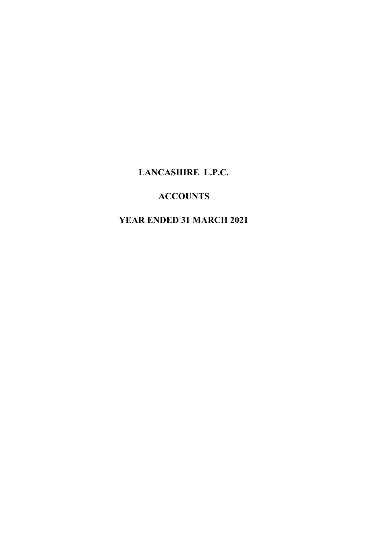# **ACCOUNTS**

# **YEAR ENDED 31 MARCH 2021**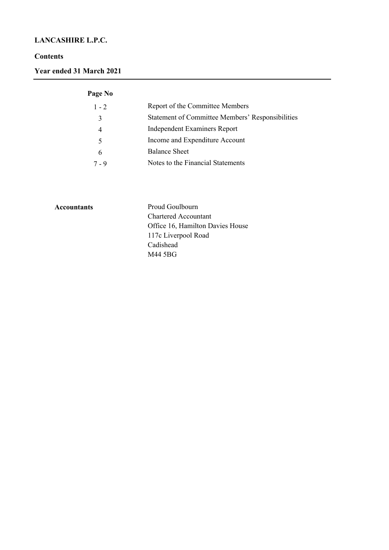#### **Contents**

**Year ended 31 March 2021**

# **Page No**

| $1 - 2$ | Report of the Committee Members                  |
|---------|--------------------------------------------------|
| 3       | Statement of Committee Members' Responsibilities |
|         | <b>Independent Examiners Report</b>              |
| 5       | Income and Expenditure Account                   |
| 6       | <b>Balance Sheet</b>                             |
| 7 - 9   | Notes to the Financial Statements                |
|         |                                                  |

Accountants **Proud Goulbourn** Chartered Accountant Office 16, Hamilton Davies House 117c Liverpool Road Cadishead M44 5BG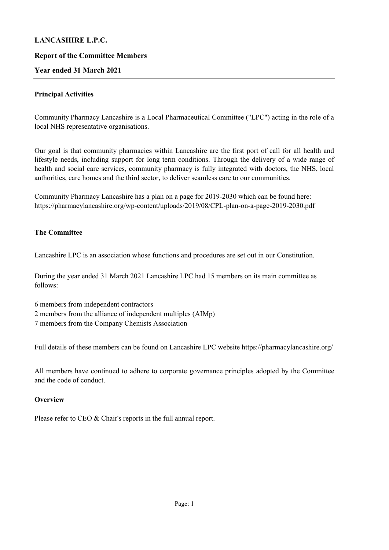#### **Report of the Committee Members**

#### **Year ended 31 March 2021**

#### **Principal Activities**

Community Pharmacy Lancashire is a Local Pharmaceutical Committee ("LPC") acting in the role of a local NHS representative organisations.

Our goal is that community pharmacies within Lancashire are the first port of call for all health and lifestyle needs, including support for long term conditions. Through the delivery of a wide range of health and social care services, community pharmacy is fully integrated with doctors, the NHS, local authorities, care homes and the third sector, to deliver seamless care to our communities.

Community Pharmacy Lancashire has a plan on a page for 2019-2030 which can be found here: https://pharmacylancashire.org/wp-content/uploads/2019/08/CPL-plan-on-a-page-2019-2030.pdf

#### **The Committee**

Lancashire LPC is an association whose functions and procedures are set out in our Constitution.

During the year ended 31 March 2021 Lancashire LPC had 15 members on its main committee as follows:

- 6 members from independent contractors
- 2 members from the alliance of independent multiples (AIMp)
- 7 members from the Company Chemists Association

Full details of these members can be found on Lancashire LPC website https://pharmacylancashire.org/

All members have continued to adhere to corporate governance principles adopted by the Committee and the code of conduct.

#### **Overview**

Please refer to CEO & Chair's reports in the full annual report.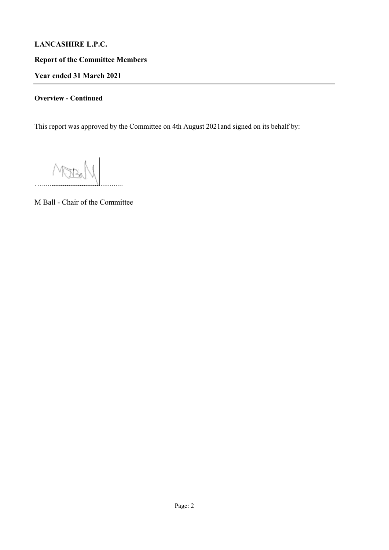**Report of the Committee Members**

**Year ended 31 March 2021**

# **Overview - Continued**

This report was approved by the Committee on 4th August 2021and signed on its behalf by:

 $M_{\rm max}$ 

M Ball - Chair of the Committee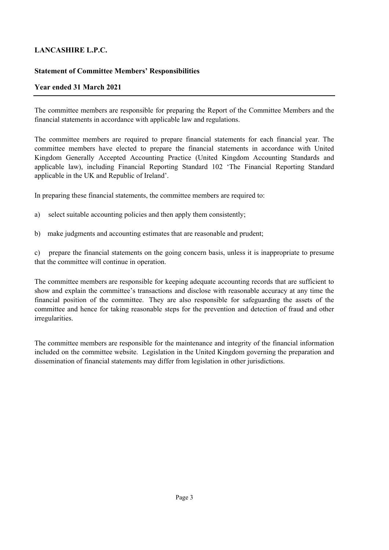## **Statement of Committee Members' Responsibilities**

## **Year ended 31 March 2021**

The committee members are responsible for preparing the Report of the Committee Members and the financial statements in accordance with applicable law and regulations.

The committee members are required to prepare financial statements for each financial year. The committee members have elected to prepare the financial statements in accordance with United Kingdom Generally Accepted Accounting Practice (United Kingdom Accounting Standards and applicable law), including Financial Reporting Standard 102 'The Financial Reporting Standard applicable in the UK and Republic of Ireland'.

In preparing these financial statements, the committee members are required to:

- a) select suitable accounting policies and then apply them consistently;
- b) make judgments and accounting estimates that are reasonable and prudent;

c) prepare the financial statements on the going concern basis, unless it is inappropriate to presume that the committee will continue in operation.

The committee members are responsible for keeping adequate accounting records that are sufficient to show and explain the committee's transactions and disclose with reasonable accuracy at any time the financial position of the committee. They are also responsible for safeguarding the assets of the committee and hence for taking reasonable steps for the prevention and detection of fraud and other irregularities.

The committee members are responsible for the maintenance and integrity of the financial information included on the committee website. Legislation in the United Kingdom governing the preparation and dissemination of financial statements may differ from legislation in other jurisdictions.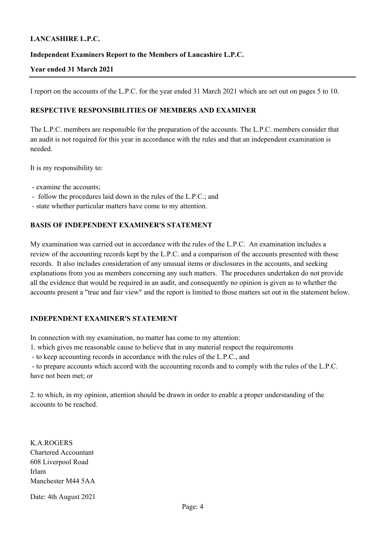#### **Independent Examiners Report to the Members of Lancashire L.P.C.**

#### **Year ended 31 March 2021**

I report on the accounts of the L.P.C. for the year ended 31 March 2021 which are set out on pages 5 to 10.

#### **RESPECTIVE RESPONSIBILITIES OF MEMBERS AND EXAMINER**

The L.P.C. members are responsible for the preparation of the accounts. The L.P.C. members consider that an audit is not required for this year in accordance with the rules and that an independent examination is needed.

It is my responsibility to:

- examine the accounts;
- follow the procedures laid down in the rules of the L.P.C.; and
- state whether particular matters have come to my attention.

#### **BASIS OF INDEPENDENT EXAMINER'S STATEMENT**

My examination was carried out in accordance with the rules of the L.P.C. An examination includes a review of the accounting records kept by the L.P.C. and a comparison of the accounts presented with those records. It also includes consideration of any unusual items or disclosures in the accounts, and seeking explanations from you as members concerning any such matters. The procedures undertaken do not provide all the evidence that would be required in an audit, and consequently no opinion is given as to whether the accounts present a "true and fair view" and the report is limited to those matters set out in the statement below.

#### **INDEPENDENT EXAMINER'S STATEMENT**

In connection with my examination, no matter has come to my attention:

1. which gives me reasonable cause to believe that in any material respect the requirements

- to keep accounting records in accordance with the rules of the L.P.C., and

 - to prepare accounts which accord with the accounting records and to comply with the rules of the L.P.C. have not been met; or

2. to which, in my opinion, attention should be drawn in order to enable a proper understanding of the accounts to be reached.

K.A.ROGERS Chartered Accountant 608 Liverpool Road Irlam Manchester M44 5AA

Date: 4th August 2021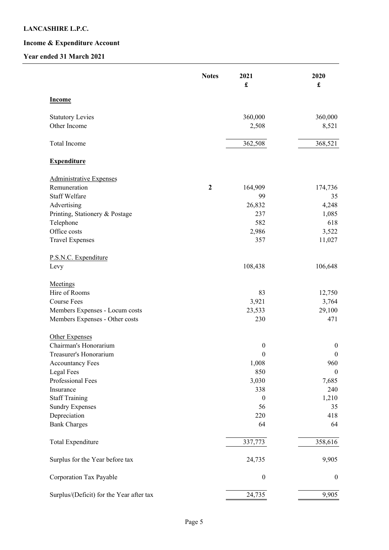# **Income & Expenditure Account**

# **Year ended 31 March 2021**

|                                          | <b>Notes</b>     | 2021<br>$\pmb{\mathfrak{L}}$ | 2020<br>£        |
|------------------------------------------|------------------|------------------------------|------------------|
| <b>Income</b>                            |                  |                              |                  |
| <b>Statutory Levies</b>                  |                  | 360,000                      | 360,000          |
| Other Income                             |                  | 2,508                        | 8,521            |
| Total Income                             |                  | 362,508                      | 368,521          |
| <b>Expenditure</b>                       |                  |                              |                  |
| <b>Administrative Expenses</b>           |                  |                              |                  |
| Remuneration                             | $\boldsymbol{2}$ | 164,909                      | 174,736          |
| <b>Staff Welfare</b>                     |                  | 99                           | 35               |
| Advertising                              |                  | 26,832                       | 4,248            |
| Printing, Stationery & Postage           |                  | 237                          | 1,085            |
| Telephone                                |                  | 582                          | 618              |
| Office costs                             |                  | 2,986                        | 3,522            |
| <b>Travel Expenses</b>                   |                  | 357                          | 11,027           |
| P.S.N.C. Expenditure                     |                  |                              |                  |
| Levy                                     |                  | 108,438                      | 106,648          |
| Meetings                                 |                  |                              |                  |
| Hire of Rooms                            |                  | 83                           | 12,750           |
| <b>Course Fees</b>                       |                  | 3,921                        | 3,764            |
| Members Expenses - Locum costs           |                  | 23,533                       | 29,100           |
| Members Expenses - Other costs           |                  | 230                          | 471              |
| Other Expenses                           |                  |                              |                  |
| Chairman's Honorarium                    |                  | $\boldsymbol{0}$             | $\boldsymbol{0}$ |
| Treasurer's Honorarium                   |                  | $\boldsymbol{0}$             | $\boldsymbol{0}$ |
| Accountancy Fees                         |                  | 1,008                        | 960              |
| <b>Legal Fees</b>                        |                  | 850                          | $\boldsymbol{0}$ |
| Professional Fees                        |                  | 3,030                        | 7,685            |
| Insurance                                |                  | 338                          | 240              |
| <b>Staff Training</b>                    |                  | $\boldsymbol{0}$             | 1,210            |
| <b>Sundry Expenses</b>                   |                  | 56                           | 35               |
| Depreciation                             |                  | 220                          | 418              |
| <b>Bank Charges</b>                      |                  | 64                           | 64               |
| <b>Total Expenditure</b>                 |                  | 337,773                      | 358,616          |
| Surplus for the Year before tax          |                  | 24,735                       | 9,905            |
| Corporation Tax Payable                  |                  | $\boldsymbol{0}$             | $\boldsymbol{0}$ |
| Surplus/(Deficit) for the Year after tax |                  | 24,735                       | 9,905            |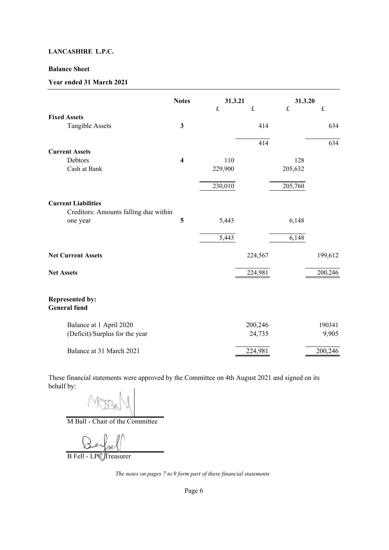#### **Balance Sheet**

#### **Year ended 31 March 2021**

|                                                                     | <b>Notes</b>            | 31.3.21     |           | 31.3.20   |           |
|---------------------------------------------------------------------|-------------------------|-------------|-----------|-----------|-----------|
|                                                                     |                         | $\mathbf f$ | $\pounds$ | $\pounds$ | $\pounds$ |
| <b>Fixed Assets</b>                                                 |                         |             |           |           |           |
| <b>Tangible Assets</b>                                              | $\mathbf{3}$            |             | 414       |           | 634       |
|                                                                     |                         |             | 414       |           | 634       |
| <b>Current Assets</b>                                               |                         |             |           |           |           |
| Debtors                                                             | $\overline{\mathbf{4}}$ | 110         |           | 128       |           |
| Cash at Bank                                                        |                         | 229,900     |           | 205,632   |           |
|                                                                     |                         | 230,010     |           | 205,760   |           |
| <b>Current Liabilities</b><br>Creditors: Amounts falling due within |                         |             |           |           |           |
| one year                                                            | 5                       | 5,443       |           | 6,148     |           |
|                                                                     |                         | 5,443       |           | 6,148     |           |
| <b>Net Current Assets</b>                                           |                         |             | 224,567   |           | 199,612   |
| <b>Net Assets</b>                                                   |                         |             | 224,981   |           | 200,246   |
| <b>Represented by:</b><br><b>General</b> fund                       |                         |             |           |           |           |
| Balance at 1 April 2020                                             |                         |             | 200,246   |           | 190341    |
| (Deficit)/Surplus for the year                                      |                         |             | 24,735    |           | 9,905     |
| Balance at 31 March 2021                                            |                         |             | 224,981   |           | 200,246   |

These financial statements were approved by the Committee on 4th August 2021 and signed on its behalf by:

M Ball - Chair of the Committee

B Fell - LPC Treasurer

*The notes on pages 7 to 9 form part of these financial statements*

Page 6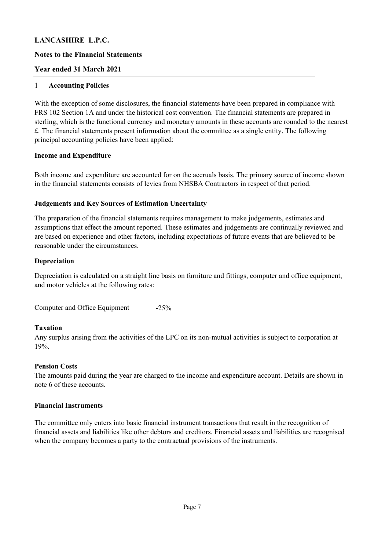#### **Notes to the Financial Statements**

#### **Year ended 31 March 2021**

#### 1 **Accounting Policies**

With the exception of some disclosures, the financial statements have been prepared in compliance with FRS 102 Section 1A and under the historical cost convention. The financial statements are prepared in sterling, which is the functional currency and monetary amounts in these accounts are rounded to the nearest £. The financial statements present information about the committee as a single entity. The following principal accounting policies have been applied:

#### **Income and Expenditure**

Both income and expenditure are accounted for on the accruals basis. The primary source of income shown in the financial statements consists of levies from NHSBA Contractors in respect of that period.

#### **Judgements and Key Sources of Estimation Uncertainty**

The preparation of the financial statements requires management to make judgements, estimates and assumptions that effect the amount reported. These estimates and judgements are continually reviewed and are based on experience and other factors, including expectations of future events that are believed to be reasonable under the circumstances.

#### **Depreciation**

Depreciation is calculated on a straight line basis on furniture and fittings, computer and office equipment, and motor vehicles at the following rates:

-25% Computer and Office Equipment

#### **Taxation**

Any surplus arising from the activities of the LPC on its non-mutual activities is subject to corporation at 19%.

#### **Pension Costs**

The amounts paid during the year are charged to the income and expenditure account. Details are shown in note 6 of these accounts.

#### **Financial Instruments**

The committee only enters into basic financial instrument transactions that result in the recognition of financial assets and liabilities like other debtors and creditors. Financial assets and liabilities are recognised when the company becomes a party to the contractual provisions of the instruments.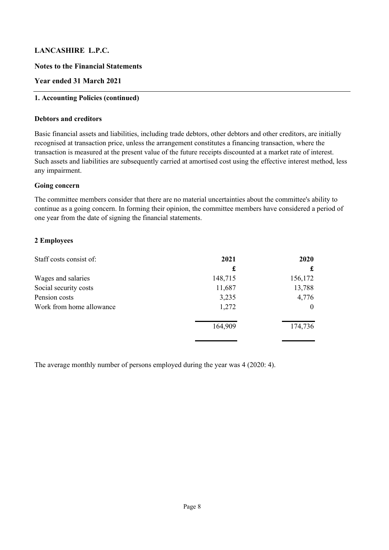#### **Notes to the Financial Statements**

## **Year ended 31 March 2021**

#### **1. Accounting Policies (continued)**

#### **Debtors and creditors**

Basic financial assets and liabilities, including trade debtors, other debtors and other creditors, are initially recognised at transaction price, unless the arrangement constitutes a financing transaction, where the transaction is measured at the present value of the future receipts discounted at a market rate of interest. Such assets and liabilities are subsequently carried at amortised cost using the effective interest method, less any impairment.

#### **Going concern**

The committee members consider that there are no material uncertainties about the committee's ability to continue as a going concern. In forming their opinion, the committee members have considered a period of one year from the date of signing the financial statements.

#### **2 Employees**

| Staff costs consist of:  | 2021    | 2020     |
|--------------------------|---------|----------|
|                          | £       |          |
| Wages and salaries       | 148,715 | 156,172  |
| Social security costs    | 11,687  | 13,788   |
| Pension costs            | 3,235   | 4,776    |
| Work from home allowance | 1,272   | $\theta$ |
|                          | 164,909 | 174,736  |
|                          |         |          |

The average monthly number of persons employed during the year was 4 (2020: 4).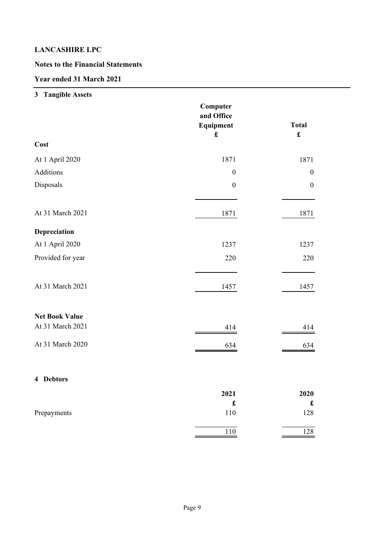# **Notes to the Financial Statements**

# **Year ended 31 March 2021**

# **3 Tangible Assets**

|                       | Computer<br>and Office<br>Equipment<br>$\pmb{\mathfrak{L}}$ | <b>Total</b><br>$\pmb{\mathfrak{L}}$ |
|-----------------------|-------------------------------------------------------------|--------------------------------------|
| Cost                  |                                                             |                                      |
| At 1 April 2020       | 1871                                                        | 1871                                 |
| Additions             | $\boldsymbol{0}$                                            | $\boldsymbol{0}$                     |
| Disposals             | $\boldsymbol{0}$                                            | $\boldsymbol{0}$                     |
| At 31 March 2021      | 1871                                                        | 1871                                 |
| Depreciation          |                                                             |                                      |
| At 1 April 2020       | 1237                                                        | 1237                                 |
| Provided for year     | 220                                                         | 220                                  |
| At 31 March 2021      | 1457                                                        | 1457                                 |
| <b>Net Book Value</b> |                                                             |                                      |
| At 31 March 2021      | 414                                                         | 414                                  |
| At 31 March 2020      | 634                                                         | 634                                  |
| 4 Debtors             |                                                             |                                      |
|                       | 2021                                                        | 2020                                 |
|                       | $\pmb{\mathfrak{L}}$                                        | $\pmb{\mathfrak{L}}$                 |
| Prepayments           | 110                                                         | 128                                  |
|                       | 110                                                         | 128                                  |